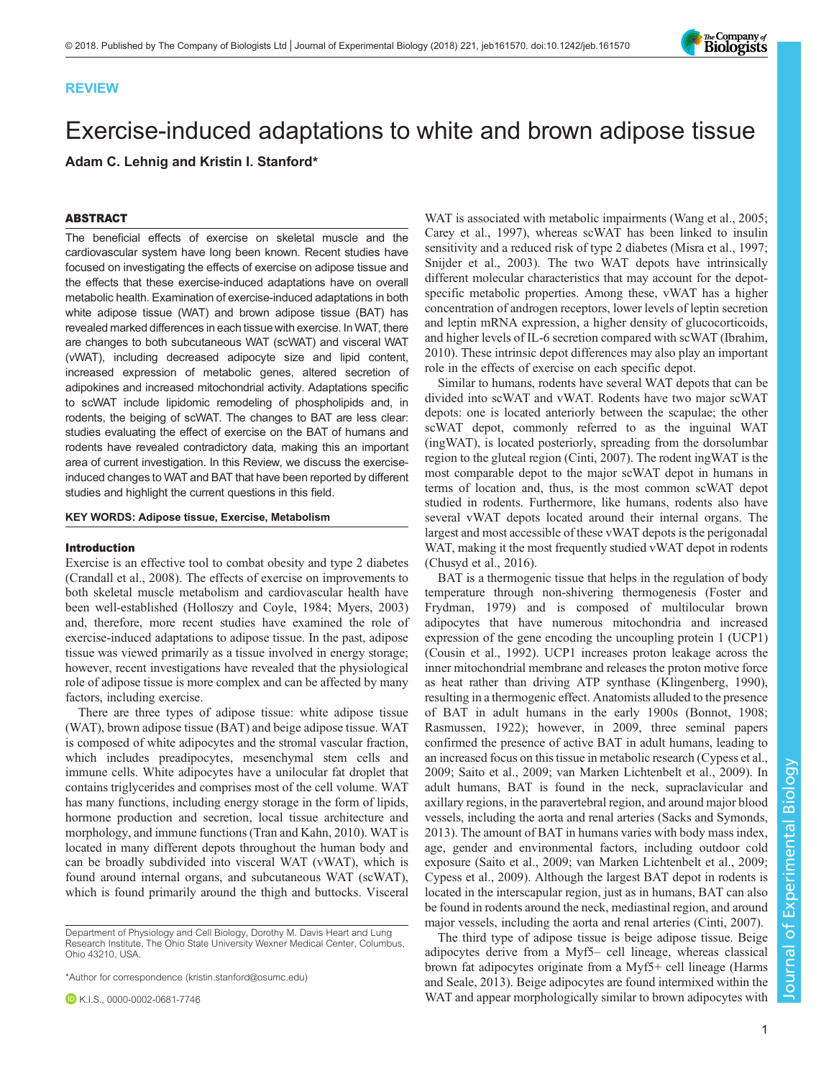# REVIEW

# Exercise-induced adaptations to white and brown adipose tissue Adam C. Lehnig and Kristin I. Stanford\*

# ABSTRACT

The beneficial effects of exercise on skeletal muscle and the cardiovascular system have long been known. Recent studies have focused on investigating the effects of exercise on adipose tissue and the effects that these exercise-induced adaptations have on overall metabolic health. Examination of exercise-induced adaptations in both white adipose tissue (WAT) and brown adipose tissue (BAT) has revealed marked differences in each tissue with exercise. In WAT, there are changes to both subcutaneous WAT (scWAT) and visceral WAT (vWAT), including decreased adipocyte size and lipid content, increased expression of metabolic genes, altered secretion of adipokines and increased mitochondrial activity. Adaptations specific to scWAT include lipidomic remodeling of phospholipids and, in rodents, the beiging of scWAT. The changes to BAT are less clear: studies evaluating the effect of exercise on the BAT of humans and rodents have revealed contradictory data, making this an important area of current investigation. In this Review, we discuss the exerciseinduced changes to WAT and BAT that have been reported by different studies and highlight the current questions in this field.

KEY WORDS: Adipose tissue, Exercise, Metabolism

## Introduction

Exercise is an effective tool to combat obesity and type 2 diabetes [\(Crandall et al., 2008](#page-5-0)). The effects of exercise on improvements to both skeletal muscle metabolism and cardiovascular health have been well-established ([Holloszy and Coyle, 1984](#page-5-0); [Myers, 2003\)](#page-6-0) and, therefore, more recent studies have examined the role of exercise-induced adaptations to adipose tissue. In the past, adipose tissue was viewed primarily as a tissue involved in energy storage; however, recent investigations have revealed that the physiological role of adipose tissue is more complex and can be affected by many factors, including exercise.

There are three types of adipose tissue: white adipose tissue (WAT), brown adipose tissue (BAT) and beige adipose tissue. WAT is composed of white adipocytes and the stromal vascular fraction, which includes preadipocytes, mesenchymal stem cells and immune cells. White adipocytes have a unilocular fat droplet that contains triglycerides and comprises most of the cell volume. WAT has many functions, including energy storage in the form of lipids, hormone production and secretion, local tissue architecture and morphology, and immune functions [\(Tran and Kahn, 2010](#page-6-0)). WAT is located in many different depots throughout the human body and can be broadly subdivided into visceral WAT (vWAT), which is found around internal organs, and subcutaneous WAT (scWAT), which is found primarily around the thigh and buttocks. Visceral

\*Author for correspondence [\(kristin.stanford@osumc.edu\)](mailto:kristin.stanford@osumc.edu)

WAT is associated with metabolic impairments ([Wang et al., 2005](#page-6-0); [Carey et al., 1997\)](#page-5-0), whereas scWAT has been linked to insulin sensitivity and a reduced risk of type 2 diabetes [\(Misra et al., 1997](#page-6-0); [Snijder et al., 2003\)](#page-6-0). The two WAT depots have intrinsically different molecular characteristics that may account for the depotspecific metabolic properties. Among these, vWAT has a higher concentration of androgen receptors, lower levels of leptin secretion and leptin mRNA expression, a higher density of glucocorticoids, and higher levels of IL-6 secretion compared with scWAT [\(Ibrahim,](#page-5-0) [2010\)](#page-5-0). These intrinsic depot differences may also play an important role in the effects of exercise on each specific depot.

Similar to humans, rodents have several WAT depots that can be divided into scWAT and vWAT. Rodents have two major scWAT depots: one is located anteriorly between the scapulae; the other scWAT depot, commonly referred to as the inguinal WAT (ingWAT), is located posteriorly, spreading from the dorsolumbar region to the gluteal region [\(Cinti, 2007\)](#page-5-0). The rodent ingWAT is the most comparable depot to the major scWAT depot in humans in terms of location and, thus, is the most common scWAT depot studied in rodents. Furthermore, like humans, rodents also have several vWAT depots located around their internal organs. The largest and most accessible of these vWAT depots is the perigonadal WAT, making it the most frequently studied vWAT depot in rodents [\(Chusyd et al., 2016](#page-5-0)).

BAT is a thermogenic tissue that helps in the regulation of body temperature through non-shivering thermogenesis ([Foster and](#page-5-0) [Frydman, 1979\)](#page-5-0) and is composed of multilocular brown adipocytes that have numerous mitochondria and increased expression of the gene encoding the uncoupling protein 1 (UCP1) [\(Cousin et al., 1992\)](#page-5-0). UCP1 increases proton leakage across the inner mitochondrial membrane and releases the proton motive force as heat rather than driving ATP synthase [\(Klingenberg, 1990\)](#page-6-0), resulting in a thermogenic effect. Anatomists alluded to the presence of BAT in adult humans in the early 1900s ([Bonnot, 1908](#page-5-0); [Rasmussen, 1922\)](#page-6-0); however, in 2009, three seminal papers confirmed the presence of active BAT in adult humans, leading to an increased focus on this tissue in metabolic research ([Cypess et al.,](#page-5-0) [2009;](#page-5-0) [Saito et al., 2009; van Marken Lichtenbelt et al., 2009\)](#page-6-0). In adult humans, BAT is found in the neck, supraclavicular and axillary regions, in the paravertebral region, and around major blood vessels, including the aorta and renal arteries [\(Sacks and Symonds,](#page-6-0) [2013\)](#page-6-0). The amount of BAT in humans varies with body mass index, age, gender and environmental factors, including outdoor cold exposure ([Saito et al., 2009; van Marken Lichtenbelt et al., 2009](#page-6-0); [Cypess et al., 2009\)](#page-5-0). Although the largest BAT depot in rodents is located in the interscapular region, just as in humans, BAT can also be found in rodents around the neck, mediastinal region, and around major vessels, including the aorta and renal arteries ([Cinti, 2007\)](#page-5-0).

The third type of adipose tissue is beige adipose tissue. Beige adipocytes derive from a Myf5– cell lineage, whereas classical brown fat adipocytes originate from a Myf5+ cell lineage ([Harms](#page-5-0) [and Seale, 2013\)](#page-5-0). Beige adipocytes are found intermixed within the WAT and appear morphologically similar to brown adipocytes with



Department of Physiology and Cell Biology, Dorothy M. Davis Heart and Lung Research Institute, The Ohio State University Wexner Medical Center, Columbus, Ohio 43210, USA.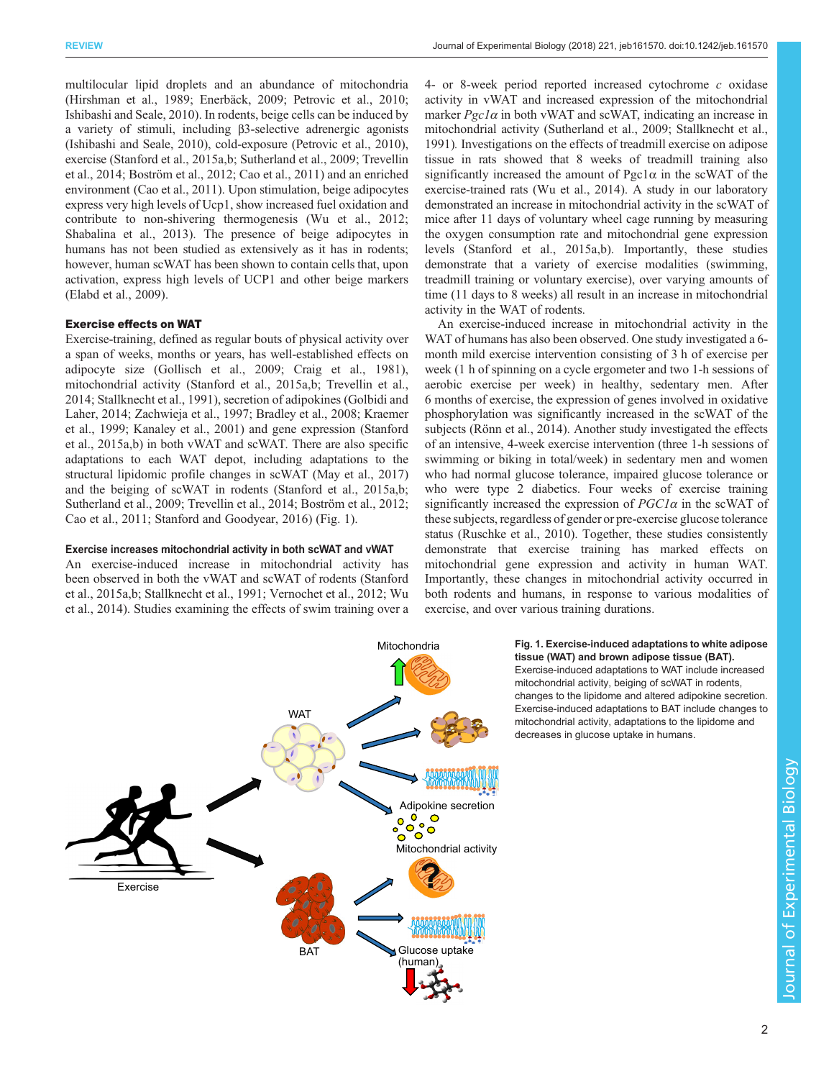multilocular lipid droplets and an abundance of mitochondria [\(Hirshman et al., 1989](#page-5-0); [Enerbäck, 2009](#page-5-0); [Petrovic et al., 2010](#page-6-0); [Ishibashi and Seale, 2010\)](#page-5-0). In rodents, beige cells can be induced by a variety of stimuli, including β3-selective adrenergic agonists [\(Ishibashi and Seale, 2010\)](#page-5-0), cold-exposure [\(Petrovic et al., 2010\)](#page-6-0), exercise ([Stanford et al., 2015a](#page-6-0),[b](#page-6-0); [Sutherland et al., 2009](#page-6-0); [Trevellin](#page-6-0) [et al., 2014;](#page-6-0) [Boström et al., 2012; Cao et al., 2011](#page-5-0)) and an enriched environment [\(Cao et al., 2011\)](#page-5-0). Upon stimulation, beige adipocytes express very high levels of Ucp1, show increased fuel oxidation and contribute to non-shivering thermogenesis ([Wu et al., 2012](#page-6-0); [Shabalina et al., 2013\)](#page-6-0). The presence of beige adipocytes in humans has not been studied as extensively as it has in rodents; however, human scWAT has been shown to contain cells that, upon activation, express high levels of UCP1 and other beige markers [\(Elabd et al., 2009](#page-5-0)).

# Exercise effects on WAT

Exercise-training, defined as regular bouts of physical activity over a span of weeks, months or years, has well-established effects on adipocyte size [\(Gollisch et al., 2009](#page-5-0); [Craig et al., 1981\)](#page-5-0), mitochondrial activity ([Stanford et al., 2015a,b](#page-6-0); [Trevellin et al.,](#page-6-0) [2014](#page-6-0); [Stallknecht et al., 1991\)](#page-6-0), secretion of adipokines ([Golbidi and](#page-5-0) [Laher, 2014;](#page-5-0) [Zachwieja et al., 1997;](#page-7-0) [Bradley et al., 2008](#page-5-0); [Kraemer](#page-6-0) [et al., 1999](#page-6-0); [Kanaley et al., 2001](#page-5-0)) and gene expression ([Stanford](#page-6-0) [et al., 2015a,b](#page-6-0)) in both vWAT and scWAT. There are also specific adaptations to each WAT depot, including adaptations to the structural lipidomic profile changes in scWAT ([May et al., 2017\)](#page-6-0) and the beiging of scWAT in rodents [\(Stanford et al., 2015a](#page-6-0),[b](#page-6-0); [Sutherland et al., 2009](#page-6-0); [Trevellin et al., 2014;](#page-6-0) [Boström et al., 2012](#page-5-0); [Cao et al., 2011;](#page-5-0) [Stanford and Goodyear, 2016](#page-6-0)) (Fig. 1).

## Exercise increases mitochondrial activity in both scWAT and vWAT

An exercise-induced increase in mitochondrial activity has been observed in both the vWAT and scWAT of rodents ([Stanford](#page-6-0) [et al., 2015a](#page-6-0),[b](#page-6-0); [Stallknecht et al., 1991; Vernochet et al., 2012](#page-6-0); [Wu](#page-6-0) [et al., 2014](#page-6-0)). Studies examining the effects of swim training over a 4- or 8-week period reported increased cytochrome c oxidase activity in vWAT and increased expression of the mitochondrial marker  $P\alpha I\alpha$  in both vWAT and scWAT, indicating an increase in mitochondrial activity ([Sutherland et al., 2009; Stallknecht et al.,](#page-6-0) [1991\)](#page-6-0). Investigations on the effects of treadmill exercise on adipose tissue in rats showed that 8 weeks of treadmill training also significantly increased the amount of  $Pgc1\alpha$  in the scWAT of the exercise-trained rats [\(Wu et al., 2014\)](#page-6-0). A study in our laboratory demonstrated an increase in mitochondrial activity in the scWAT of mice after 11 days of voluntary wheel cage running by measuring the oxygen consumption rate and mitochondrial gene expression levels ([Stanford et al., 2015a,](#page-6-0)[b\)](#72). Importantly, these studies demonstrate that a variety of exercise modalities (swimming, treadmill training or voluntary exercise), over varying amounts of time (11 days to 8 weeks) all result in an increase in mitochondrial activity in the WAT of rodents.

An exercise-induced increase in mitochondrial activity in the WAT of humans has also been observed. One study investigated a 6 month mild exercise intervention consisting of 3 h of exercise per week (1 h of spinning on a cycle ergometer and two 1-h sessions of aerobic exercise per week) in healthy, sedentary men. After 6 months of exercise, the expression of genes involved in oxidative phosphorylation was significantly increased in the scWAT of the subjects ([Rönn et al., 2014](#page-6-0)). Another study investigated the effects of an intensive, 4-week exercise intervention (three 1-h sessions of swimming or biking in total/week) in sedentary men and women who had normal glucose tolerance, impaired glucose tolerance or who were type 2 diabetics. Four weeks of exercise training significantly increased the expression of  $PGCl\alpha$  in the scWAT of these subjects, regardless of gender or pre-exercise glucose tolerance status [\(Ruschke et al., 2010\)](#page-6-0). Together, these studies consistently demonstrate that exercise training has marked effects on mitochondrial gene expression and activity in human WAT. Importantly, these changes in mitochondrial activity occurred in both rodents and humans, in response to various modalities of exercise, and over various training durations.



Fig. 1. Exercise-induced adaptations to white adipose tissue (WAT) and brown adipose tissue (BAT). Exercise-induced adaptations to WAT include increased mitochondrial activity, beiging of scWAT in rodents, changes to the lipidome and altered adipokine secretion. Exercise-induced adaptations to BAT include changes to mitochondrial activity, adaptations to the lipidome and decreases in glucose uptake in humans.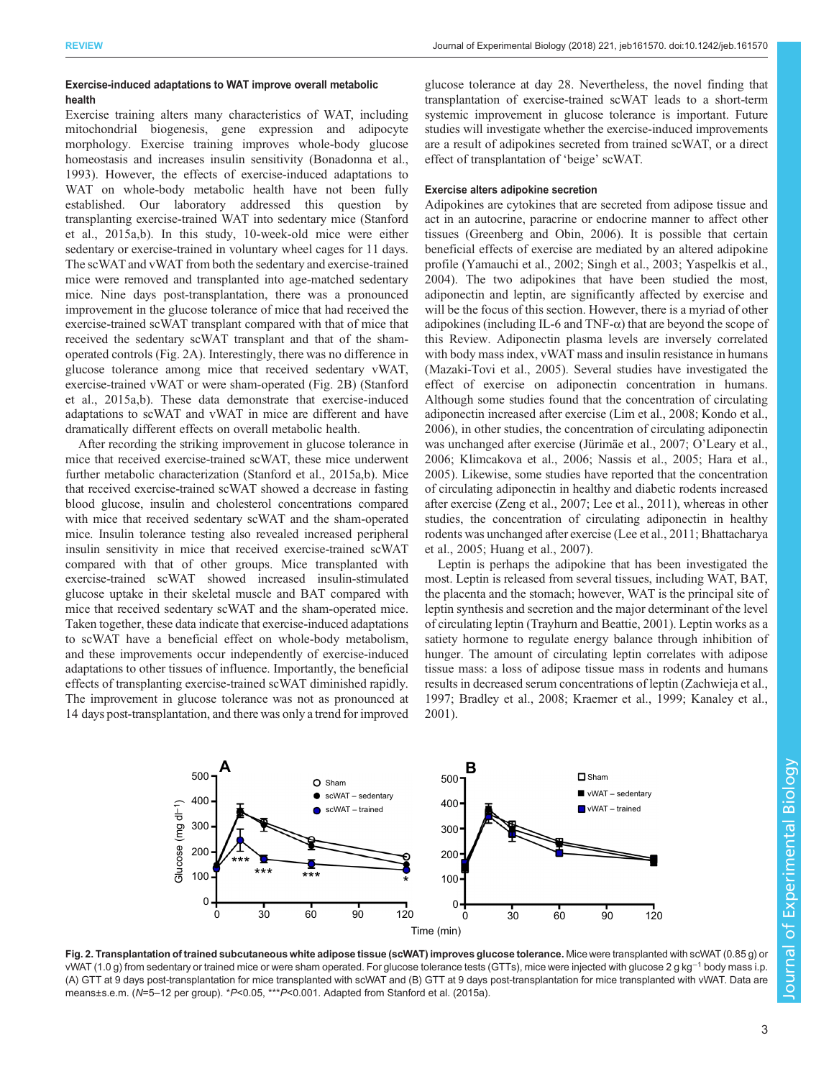## Exercise-induced adaptations to WAT improve overall metabolic health

Exercise training alters many characteristics of WAT, including mitochondrial biogenesis, gene expression and adipocyte morphology. Exercise training improves whole-body glucose homeostasis and increases insulin sensitivity [\(Bonadonna et al.,](#page-5-0) [1993](#page-5-0)). However, the effects of exercise-induced adaptations to WAT on whole-body metabolic health have not been fully established. Our laboratory addressed this question by transplanting exercise-trained WAT into sedentary mice ([Stanford](#page-6-0) [et al., 2015a](#page-6-0),[b\)](#page-6-0). In this study, 10-week-old mice were either sedentary or exercise-trained in voluntary wheel cages for 11 days. The scWAT and vWAT from both the sedentary and exercise-trained mice were removed and transplanted into age-matched sedentary mice. Nine days post-transplantation, there was a pronounced improvement in the glucose tolerance of mice that had received the exercise-trained scWAT transplant compared with that of mice that received the sedentary scWAT transplant and that of the shamoperated controls (Fig. 2A). Interestingly, there was no difference in glucose tolerance among mice that received sedentary vWAT, exercise-trained vWAT or were sham-operated (Fig. 2B) ([Stanford](#page-6-0) [et al., 2015a](#page-6-0),[b](#page-6-0)). These data demonstrate that exercise-induced adaptations to scWAT and vWAT in mice are different and have dramatically different effects on overall metabolic health.

After recording the striking improvement in glucose tolerance in mice that received exercise-trained scWAT, these mice underwent further metabolic characterization ([Stanford et al., 2015a,b](#page-6-0)). Mice that received exercise-trained scWAT showed a decrease in fasting blood glucose, insulin and cholesterol concentrations compared with mice that received sedentary scWAT and the sham-operated mice. Insulin tolerance testing also revealed increased peripheral insulin sensitivity in mice that received exercise-trained scWAT compared with that of other groups. Mice transplanted with exercise-trained scWAT showed increased insulin-stimulated glucose uptake in their skeletal muscle and BAT compared with mice that received sedentary scWAT and the sham-operated mice. Taken together, these data indicate that exercise-induced adaptations to scWAT have a beneficial effect on whole-body metabolism, and these improvements occur independently of exercise-induced adaptations to other tissues of influence. Importantly, the beneficial effects of transplanting exercise-trained scWAT diminished rapidly. The improvement in glucose tolerance was not as pronounced at 14 days post-transplantation, and there was only a trend for improved

glucose tolerance at day 28. Nevertheless, the novel finding that transplantation of exercise-trained scWAT leads to a short-term systemic improvement in glucose tolerance is important. Future studies will investigate whether the exercise-induced improvements are a result of adipokines secreted from trained scWAT, or a direct effect of transplantation of 'beige' scWAT.

## Exercise alters adipokine secretion

Adipokines are cytokines that are secreted from adipose tissue and act in an autocrine, paracrine or endocrine manner to affect other tissues ([Greenberg and Obin, 2006\)](#page-5-0). It is possible that certain beneficial effects of exercise are mediated by an altered adipokine profile [\(Yamauchi et al., 2002](#page-7-0); [Singh et al., 2003](#page-6-0); [Yaspelkis et al.,](#page-7-0) [2004\)](#page-7-0). The two adipokines that have been studied the most, adiponectin and leptin, are significantly affected by exercise and will be the focus of this section. However, there is a myriad of other adipokines (including IL-6 and TNF- $\alpha$ ) that are beyond the scope of this Review. Adiponectin plasma levels are inversely correlated with body mass index, vWAT mass and insulin resistance in humans [\(Mazaki-Tovi et al., 2005](#page-6-0)). Several studies have investigated the effect of exercise on adiponectin concentration in humans. Although some studies found that the concentration of circulating adiponectin increased after exercise ([Lim et al., 2008](#page-6-0); [Kondo et al.,](#page-6-0) [2006\)](#page-6-0), in other studies, the concentration of circulating adiponectin was unchanged after exercise [\(Jürimäe et al., 2007](#page-5-0); O'[Leary et al.,](#page-6-0) [2006;](#page-6-0) [Klimcakova et al., 2006;](#page-5-0) [Nassis et al., 2005](#page-6-0); [Hara et al.,](#page-5-0) [2005\)](#page-5-0). Likewise, some studies have reported that the concentration of circulating adiponectin in healthy and diabetic rodents increased after exercise ([Zeng et al., 2007;](#page-7-0) [Lee et al., 2011](#page-6-0)), whereas in other studies, the concentration of circulating adiponectin in healthy rodents was unchanged after exercise ([Lee et al., 2011;](#page-6-0) [Bhattacharya](#page-5-0) [et al., 2005; Huang et al., 2007](#page-5-0)).

Leptin is perhaps the adipokine that has been investigated the most. Leptin is released from several tissues, including WAT, BAT, the placenta and the stomach; however, WAT is the principal site of leptin synthesis and secretion and the major determinant of the level of circulating leptin ([Trayhurn and Beattie, 2001](#page-6-0)). Leptin works as a satiety hormone to regulate energy balance through inhibition of hunger. The amount of circulating leptin correlates with adipose tissue mass: a loss of adipose tissue mass in rodents and humans results in decreased serum concentrations of leptin [\(Zachwieja et al.,](#page-7-0) [1997;](#page-7-0) [Bradley et al., 2008;](#page-5-0) [Kraemer et al., 1999](#page-6-0); [Kanaley et al.,](#page-5-0) [2001\)](#page-5-0).



Fig. 2. Transplantation of trained subcutaneous white adipose tissue (scWAT) improves glucose tolerance. Mice were transplanted with scWAT (0.85 g) or vWAT (1.0 g) from sedentary or trained mice or were sham operated. For glucose tolerance tests (GTTs), mice were injected with glucose 2 g kg<sup>-1</sup> body mass i.p (A) GTT at 9 days post-transplantation for mice transplanted with scWAT and (B) GTT at 9 days post-transplantation for mice transplanted with vWAT. Data are means±s.e.m. (N=5–12 per group). \*P<0.05, \*\*\*P<0.001. Adapted from [Stanford et al. \(2015a\)](#page-6-0).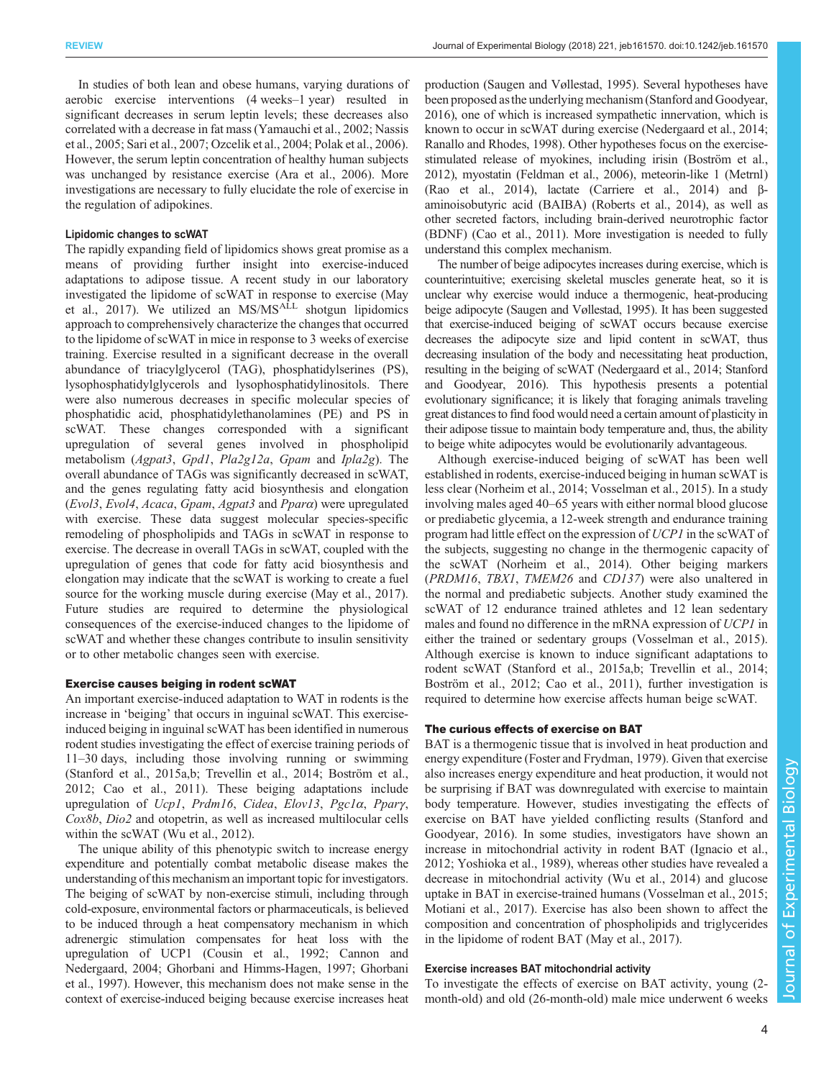In studies of both lean and obese humans, varying durations of aerobic exercise interventions (4 weeks–1 year) resulted in significant decreases in serum leptin levels; these decreases also correlated with a decrease in fat mass ([Yamauchi et al., 2002](#page-7-0); [Nassis](#page-6-0) [et al., 2005; Sari et al., 2007; Ozcelik et al., 2004; Polak et al., 2006\)](#page-6-0). However, the serum leptin concentration of healthy human subjects was unchanged by resistance exercise [\(Ara et al., 2006\)](#page-5-0). More investigations are necessary to fully elucidate the role of exercise in the regulation of adipokines.

### Lipidomic changes to scWAT

The rapidly expanding field of lipidomics shows great promise as a means of providing further insight into exercise-induced adaptations to adipose tissue. A recent study in our laboratory investigated the lipidome of scWAT in response to exercise ([May](#page-6-0) [et al., 2017\)](#page-6-0). We utilized an MS/MS<sup>ALL</sup> shotgun lipidomics approach to comprehensively characterize the changes that occurred to the lipidome of scWAT in mice in response to 3 weeks of exercise training. Exercise resulted in a significant decrease in the overall abundance of triacylglycerol (TAG), phosphatidylserines (PS), lysophosphatidylglycerols and lysophosphatidylinositols. There were also numerous decreases in specific molecular species of phosphatidic acid, phosphatidylethanolamines (PE) and PS in scWAT. These changes corresponded with a significant upregulation of several genes involved in phospholipid metabolism (Agpat3, Gpd1, Pla2g12a, Gpam and Ipla2g). The overall abundance of TAGs was significantly decreased in scWAT, and the genes regulating fatty acid biosynthesis and elongation (Evol3, Evol4, Acaca, Gpam, Agpat3 and Pparα) were upregulated with exercise. These data suggest molecular species-specific remodeling of phospholipids and TAGs in scWAT in response to exercise. The decrease in overall TAGs in scWAT, coupled with the upregulation of genes that code for fatty acid biosynthesis and elongation may indicate that the scWAT is working to create a fuel source for the working muscle during exercise [\(May et al., 2017\)](#page-6-0). Future studies are required to determine the physiological consequences of the exercise-induced changes to the lipidome of scWAT and whether these changes contribute to insulin sensitivity or to other metabolic changes seen with exercise.

#### Exercise causes beiging in rodent scWAT

An important exercise-induced adaptation to WAT in rodents is the increase in 'beiging' that occurs in inguinal scWAT. This exerciseinduced beiging in inguinal scWAT has been identified in numerous rodent studies investigating the effect of exercise training periods of 11–30 days, including those involving running or swimming [\(Stanford et al., 2015a](#page-6-0),[b](#page-6-0); [Trevellin et al., 2014;](#page-6-0) [Boström et al.,](#page-5-0) [2012](#page-5-0); [Cao et al., 2011\)](#page-5-0). These beiging adaptations include upregulation of Ucp1, Prdm16, Cidea, Elov13, Pgc1α, Pparγ, Cox8b, Dio2 and otopetrin, as well as increased multilocular cells within the scWAT ([Wu et al., 2012\)](#page-6-0).

The unique ability of this phenotypic switch to increase energy expenditure and potentially combat metabolic disease makes the understanding of this mechanism an important topic for investigators. The beiging of scWAT by non-exercise stimuli, including through cold-exposure, environmental factors or pharmaceuticals, is believed to be induced through a heat compensatory mechanism in which adrenergic stimulation compensates for heat loss with the upregulation of UCP1 [\(Cousin et al., 1992; Cannon and](#page-5-0) [Nedergaard, 2004](#page-5-0); [Ghorbani and Himms-Hagen, 1997](#page-5-0); [Ghorbani](#page-5-0) [et al., 1997](#page-5-0)). However, this mechanism does not make sense in the context of exercise-induced beiging because exercise increases heat

production [\(Saugen and Vøllestad, 1995](#page-6-0)). Several hypotheses have been proposed asthe underlying mechanism ([Stanford and Goodyear,](#page-6-0) [2016\)](#page-6-0), one of which is increased sympathetic innervation, which is known to occur in scWAT during exercise [\(Nedergaard et al., 2014](#page-6-0); [Ranallo and Rhodes, 1998\)](#page-6-0). Other hypotheses focus on the exercisestimulated release of myokines, including irisin [\(Boström et al.,](#page-5-0) [2012\)](#page-5-0), myostatin [\(Feldman et al., 2006\)](#page-5-0), meteorin-like 1 (Metrnl) [\(Rao et al., 2014](#page-6-0)), lactate ([Carriere et al., 2014\)](#page-5-0) and βaminoisobutyric acid (BAIBA) ([Roberts et al., 2014](#page-6-0)), as well as other secreted factors, including brain-derived neurotrophic factor (BDNF) ([Cao et al., 2011](#page-5-0)). More investigation is needed to fully understand this complex mechanism.

The number of beige adipocytes increases during exercise, which is counterintuitive; exercising skeletal muscles generate heat, so it is unclear why exercise would induce a thermogenic, heat-producing beige adipocyte [\(Saugen and Vøllestad, 1995\)](#page-6-0). It has been suggested that exercise-induced beiging of scWAT occurs because exercise decreases the adipocyte size and lipid content in scWAT, thus decreasing insulation of the body and necessitating heat production, resulting in the beiging of scWAT [\(Nedergaard et al., 2014; Stanford](#page-6-0) [and Goodyear, 2016\)](#page-6-0). This hypothesis presents a potential evolutionary significance; it is likely that foraging animals traveling great distances to find food would need a certain amount of plasticity in their adipose tissue to maintain body temperature and, thus, the ability to beige white adipocytes would be evolutionarily advantageous.

Although exercise-induced beiging of scWAT has been well established in rodents, exercise-induced beiging in human scWAT is less clear ([Norheim et al., 2014](#page-6-0); [Vosselman et al., 2015\)](#page-6-0). In a study involving males aged 40–65 years with either normal blood glucose or prediabetic glycemia, a 12-week strength and endurance training program had little effect on the expression of UCP1 in the scWAT of the subjects, suggesting no change in the thermogenic capacity of the scWAT [\(Norheim et al., 2014\)](#page-6-0). Other beiging markers (PRDM16, TBX1, TMEM26 and CD137) were also unaltered in the normal and prediabetic subjects. Another study examined the scWAT of 12 endurance trained athletes and 12 lean sedentary males and found no difference in the mRNA expression of UCP1 in either the trained or sedentary groups [\(Vosselman et al., 2015\)](#page-6-0). Although exercise is known to induce significant adaptations to rodent scWAT ([Stanford et al., 2015a,b](#page-6-0); [Trevellin et al., 2014](#page-6-0); [Boström et al., 2012](#page-5-0); [Cao et al., 2011](#page-5-0)), further investigation is required to determine how exercise affects human beige scWAT.

#### The curious effects of exercise on BAT

BAT is a thermogenic tissue that is involved in heat production and energy expenditure [\(Foster and Frydman, 1979\)](#page-5-0). Given that exercise also increases energy expenditure and heat production, it would not be surprising if BAT was downregulated with exercise to maintain body temperature. However, studies investigating the effects of exercise on BAT have yielded conflicting results ([Stanford and](#page-6-0) [Goodyear, 2016\)](#page-6-0). In some studies, investigators have shown an increase in mitochondrial activity in rodent BAT [\(Ignacio et al.,](#page-5-0) [2012;](#page-5-0) [Yoshioka et al., 1989\)](#page-7-0), whereas other studies have revealed a decrease in mitochondrial activity ([Wu et al., 2014](#page-6-0)) and glucose uptake in BAT in exercise-trained humans ([Vosselman et al., 2015](#page-6-0); [Motiani et al., 2017](#page-6-0)). Exercise has also been shown to affect the composition and concentration of phospholipids and triglycerides in the lipidome of rodent BAT ([May et al., 2017\)](#page-6-0).

# Exercise increases BAT mitochondrial activity

To investigate the effects of exercise on BAT activity, young (2 month-old) and old (26-month-old) male mice underwent 6 weeks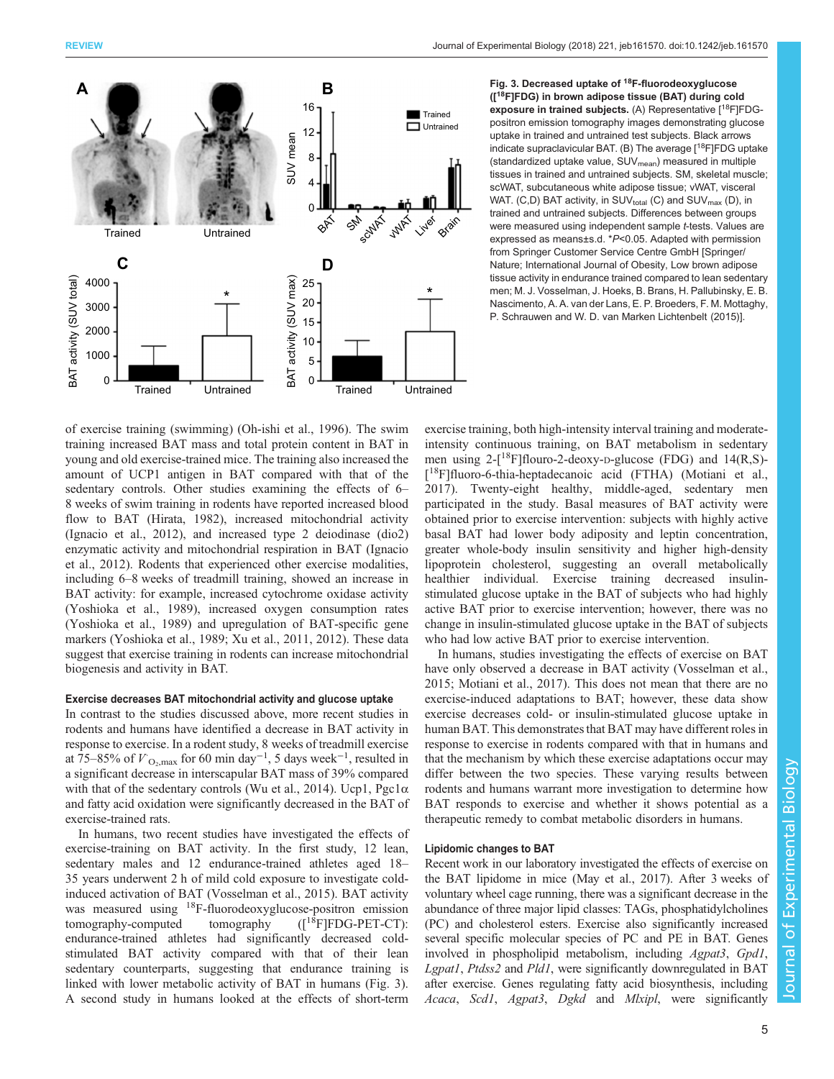



Fig. 3. Decreased uptake of <sup>18</sup>F-fluorodeoxyglucose ([18F]FDG) in brown adipose tissue (BAT) during cold exposure in trained subjects. (A) Representative [<sup>18</sup>F]FDGpositron emission tomography images demonstrating glucose uptake in trained and untrained test subjects. Black arrows indicate supraclavicular BAT. (B) The average [<sup>18</sup>F]FDG uptake (standardized uptake value, SUV<sub>mean</sub>) measured in multiple tissues in trained and untrained subjects. SM, skeletal muscle; scWAT, subcutaneous white adipose tissue; vWAT, visceral WAT. (C,D) BAT activity, in SUV $_{total}$  (C) and SUV $_{max}$  (D), in trained and untrained subjects. Differences between groups were measured using independent sample t-tests. Values are expressed as means±s.d. \*P<0.05. Adapted with permission from Springer Customer Service Centre GmbH [Springer/ Nature; International Journal of Obesity, Low brown adipose tissue activity in endurance trained compared to lean sedentary men; [M. J. Vosselman, J. Hoeks, B. Brans, H. Pallubinsky, E. B.](#page-6-0) [Nascimento, A. A. van der Lans, E. P. Broeders, F. M. Mottaghy,](#page-6-0) [P. Schrauwen and W. D. van Marken Lichtenbelt \(2015\)](#page-6-0)].

of exercise training (swimming) [\(Oh-ishi et al., 1996\)](#page-6-0). The swim training increased BAT mass and total protein content in BAT in young and old exercise-trained mice. The training also increased the amount of UCP1 antigen in BAT compared with that of the sedentary controls. Other studies examining the effects of 6– 8 weeks of swim training in rodents have reported increased blood flow to BAT [\(Hirata, 1982](#page-5-0)), increased mitochondrial activity [\(Ignacio et al., 2012](#page-5-0)), and increased type 2 deiodinase (dio2) enzymatic activity and mitochondrial respiration in BAT ([Ignacio](#page-5-0) [et al., 2012](#page-5-0)). Rodents that experienced other exercise modalities, including 6–8 weeks of treadmill training, showed an increase in BAT activity: for example, increased cytochrome oxidase activity [\(Yoshioka et al., 1989\)](#page-7-0), increased oxygen consumption rates [\(Yoshioka et al., 1989\)](#page-7-0) and upregulation of BAT-specific gene markers ([Yoshioka et al., 1989](#page-7-0); [Xu et al., 2011](#page-6-0), [2012](#page-7-0)). These data suggest that exercise training in rodents can increase mitochondrial biogenesis and activity in BAT.

## Exercise decreases BAT mitochondrial activity and glucose uptake

In contrast to the studies discussed above, more recent studies in rodents and humans have identified a decrease in BAT activity in response to exercise. In a rodent study, 8 weeks of treadmill exercise at 75–85% of  $V_{\text{O}_2, max}$  for 60 min day<sup>-1</sup>, 5 days week<sup>-1</sup>, resulted in a significant decrease in interscapular BAT mass of 39% compared with that of the sedentary controls [\(Wu et al., 2014\)](#page-6-0). Ucp1, Pgc1 $\alpha$ and fatty acid oxidation were significantly decreased in the BAT of exercise-trained rats.

In humans, two recent studies have investigated the effects of exercise-training on BAT activity. In the first study, 12 lean, sedentary males and 12 endurance-trained athletes aged 18– 35 years underwent 2 h of mild cold exposure to investigate coldinduced activation of BAT [\(Vosselman et al., 2015\)](#page-6-0). BAT activity was measured using <sup>18</sup>F-fluorodeoxyglucose-positron emission tomography-computed tomography  $(I^{18}F)FDG-PET-CT$ : endurance-trained athletes had significantly decreased coldstimulated BAT activity compared with that of their lean sedentary counterparts, suggesting that endurance training is linked with lower metabolic activity of BAT in humans (Fig. 3). A second study in humans looked at the effects of short-term

exercise training, both high-intensity interval training and moderateintensity continuous training, on BAT metabolism in sedentary men using  $2-[18F]$ flouro-2-deoxy-p-glucose (FDG) and  $14(R,S)$ -[ 18F]fluoro-6-thia-heptadecanoic acid (FTHA) [\(Motiani et al.,](#page-6-0) [2017\)](#page-6-0). Twenty-eight healthy, middle-aged, sedentary men participated in the study. Basal measures of BAT activity were obtained prior to exercise intervention: subjects with highly active basal BAT had lower body adiposity and leptin concentration, greater whole-body insulin sensitivity and higher high-density lipoprotein cholesterol, suggesting an overall metabolically healthier individual. Exercise training decreased insulinstimulated glucose uptake in the BAT of subjects who had highly active BAT prior to exercise intervention; however, there was no change in insulin-stimulated glucose uptake in the BAT of subjects who had low active BAT prior to exercise intervention.

In humans, studies investigating the effects of exercise on BAT have only observed a decrease in BAT activity ([Vosselman et al.,](#page-6-0) [2015; Motiani et al., 2017](#page-6-0)). This does not mean that there are no exercise-induced adaptations to BAT; however, these data show exercise decreases cold- or insulin-stimulated glucose uptake in human BAT. This demonstrates that BAT may have different roles in response to exercise in rodents compared with that in humans and that the mechanism by which these exercise adaptations occur may differ between the two species. These varying results between rodents and humans warrant more investigation to determine how BAT responds to exercise and whether it shows potential as a therapeutic remedy to combat metabolic disorders in humans.

#### Lipidomic changes to BAT

Recent work in our laboratory investigated the effects of exercise on the BAT lipidome in mice [\(May et al., 2017](#page-6-0)). After 3 weeks of voluntary wheel cage running, there was a significant decrease in the abundance of three major lipid classes: TAGs, phosphatidylcholines (PC) and cholesterol esters. Exercise also significantly increased several specific molecular species of PC and PE in BAT. Genes involved in phospholipid metabolism, including Agpat3, Gpd1, Lgpat1, Ptdss2 and Pld1, were significantly downregulated in BAT after exercise. Genes regulating fatty acid biosynthesis, including Acaca, Scd1, Agpat3, Dgkd and Mlxipl, were significantly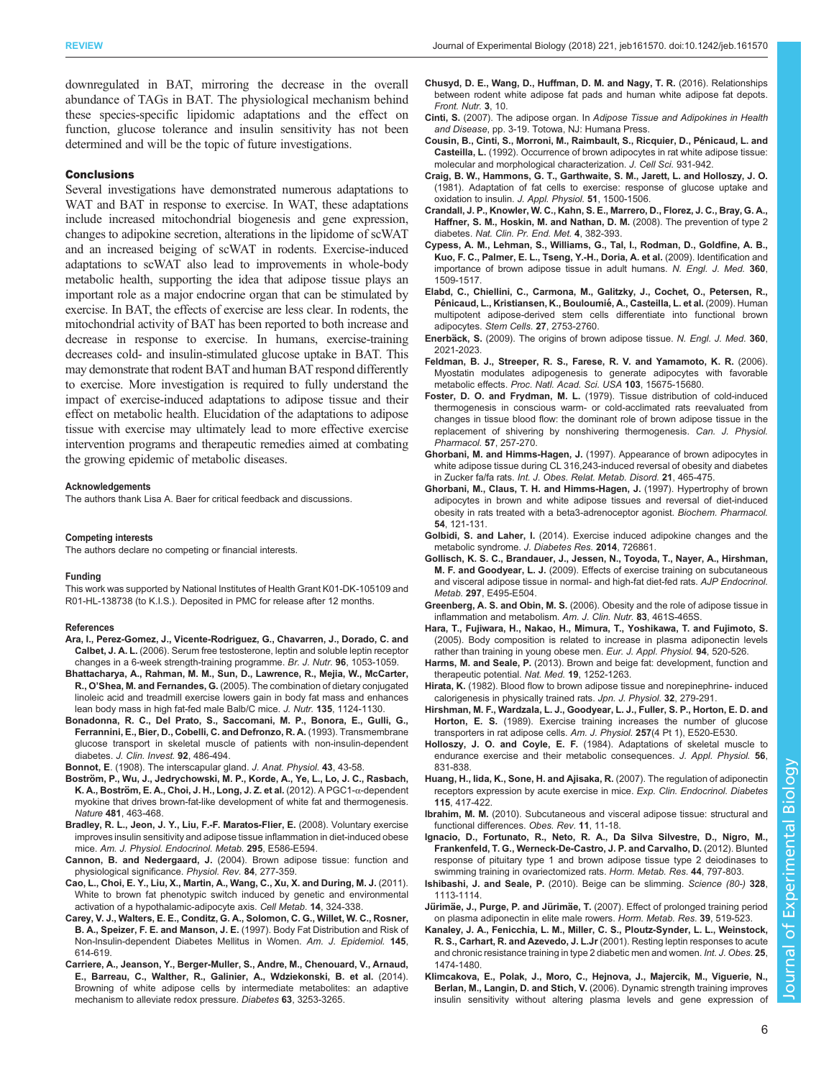<span id="page-5-0"></span>downregulated in BAT, mirroring the decrease in the overall abundance of TAGs in BAT. The physiological mechanism behind these species-specific lipidomic adaptations and the effect on function, glucose tolerance and insulin sensitivity has not been determined and will be the topic of future investigations.

#### Conclusions

Several investigations have demonstrated numerous adaptations to WAT and BAT in response to exercise. In WAT, these adaptations include increased mitochondrial biogenesis and gene expression, changes to adipokine secretion, alterations in the lipidome of scWAT and an increased beiging of scWAT in rodents. Exercise-induced adaptations to scWAT also lead to improvements in whole-body metabolic health, supporting the idea that adipose tissue plays an important role as a major endocrine organ that can be stimulated by exercise. In BAT, the effects of exercise are less clear. In rodents, the mitochondrial activity of BAT has been reported to both increase and decrease in response to exercise. In humans, exercise-training decreases cold- and insulin-stimulated glucose uptake in BAT. This may demonstrate that rodent BAT and human BAT respond differently to exercise. More investigation is required to fully understand the impact of exercise-induced adaptations to adipose tissue and their effect on metabolic health. Elucidation of the adaptations to adipose tissue with exercise may ultimately lead to more effective exercise intervention programs and therapeutic remedies aimed at combating the growing epidemic of metabolic diseases.

#### Acknowledgements

The authors thank Lisa A. Baer for critical feedback and discussions.

#### Competing interests

The authors declare no competing or financial interests.

#### Funding

This work was supported by National Institutes of Health Grant K01-DK-105109 and R01-HL-138738 (to K.I.S.). Deposited in PMC for release after 12 months.

#### References

- [Ara, I., Perez-Gomez, J., Vicente-Rodriguez, G., Chavarren, J., Dorado, C. and](http://dx.doi.org/10.1017/BJN20061956) Calbet, J. A. L. [\(2006\). Serum free testosterone, leptin and soluble leptin receptor](http://dx.doi.org/10.1017/BJN20061956) [changes in a 6-week strength-training programme.](http://dx.doi.org/10.1017/BJN20061956) Br. J. Nutr. 96, 1053-1059.
- Bhattacharya, A., Rahman, M. M., Sun, D., Lawrence, R., Mejia, W., McCarter, R., O'Shea, M. and Fernandes, G. (2005). The combination of dietary conjugated linoleic acid and treadmill exercise lowers gain in body fat mass and enhances lean body mass in high fat-fed male Balb/C mice. J. Nutr. 135, 1124-1130.
- [Bonadonna, R. C., Del Prato, S., Saccomani, M. P., Bonora, E., Gulli, G.,](http://dx.doi.org/10.1172/JCI116592) [Ferrannini, E., Bier, D., Cobelli, C. and Defronzo, R. A.](http://dx.doi.org/10.1172/JCI116592) (1993). Transmembrane [glucose transport in skeletal muscle of patients with non-insulin-dependent](http://dx.doi.org/10.1172/JCI116592) diabetes. [J. Clin. Invest.](http://dx.doi.org/10.1172/JCI116592) 92, 486-494.
- Bonnot, E. (1908). The interscapular gland. J. Anat. Physiol. 43, 43-58.
- Boströ[m, P., Wu, J., Jedrychowski, M. P., Korde, A., Ye, L., Lo, J. C., Rasbach,](http://dx.doi.org/10.1038/nature10777) K. A., Boströ[m, E. A., Choi, J. H., Long, J. Z. et al.](http://dx.doi.org/10.1038/nature10777) (2012). A PGC1-α-dependent [myokine that drives brown-fat-like development of white fat and thermogenesis.](http://dx.doi.org/10.1038/nature10777) Nature 481[, 463-468.](http://dx.doi.org/10.1038/nature10777)
- [Bradley, R. L., Jeon, J. Y., Liu, F.-F. Maratos-Flier, E.](http://dx.doi.org/10.1152/ajpendo.00309.2007) (2008). Voluntary exercise [improves insulin sensitivity and adipose tissue inflammation in diet-induced obese](http://dx.doi.org/10.1152/ajpendo.00309.2007) mice. [Am. J. Physiol. Endocrinol. Metab.](http://dx.doi.org/10.1152/ajpendo.00309.2007) 295, E586-E594.
- Cannon, B. and Nedergaard, J. [\(2004\). Brown adipose tissue: function and](http://dx.doi.org/10.1152/physrev.00015.2003) [physiological significance.](http://dx.doi.org/10.1152/physrev.00015.2003) Physiol. Rev. 84, 277-359.
- [Cao, L., Choi, E. Y., Liu, X., Martin, A., Wang, C., Xu, X. and During, M. J.](http://dx.doi.org/10.1016/j.cmet.2011.06.020) (2011). [White to brown fat phenotypic switch induced by genetic and environmental](http://dx.doi.org/10.1016/j.cmet.2011.06.020) [activation of a hypothalamic-adipocyte axis.](http://dx.doi.org/10.1016/j.cmet.2011.06.020) Cell Metab. 14, 324-338.
- [Carey, V. J., Walters, E. E., Conditz, G. A., Solomon, C. G., Willet, W. C., Rosner,](http://dx.doi.org/10.1093/oxfordjournals.aje.a009158) B. A., Speizer, F. E. and Manson, J. E. [\(1997\). Body Fat Distribution and Risk of](http://dx.doi.org/10.1093/oxfordjournals.aje.a009158) [Non-lnsulin-dependent Diabetes Mellitus in Women.](http://dx.doi.org/10.1093/oxfordjournals.aje.a009158) Am. J. Epidemiol. 145, [614-619.](http://dx.doi.org/10.1093/oxfordjournals.aje.a009158)
- [Carriere, A., Jeanson, Y., Berger-Muller, S., Andre, M., Chenouard, V., Arnaud,](http://dx.doi.org/10.2337/db13-1885) [E., Barreau, C., Walther, R., Galinier, A., Wdziekonski, B. et al.](http://dx.doi.org/10.2337/db13-1885) (2014). [Browning of white adipose cells by intermediate metabolites: an adaptive](http://dx.doi.org/10.2337/db13-1885) [mechanism to alleviate redox pressure.](http://dx.doi.org/10.2337/db13-1885) Diabetes 63, 3253-3265.
- [Chusyd, D. E., Wang, D., Huffman, D. M. and Nagy, T. R.](http://dx.doi.org/10.3389/fnut.2016.00010) (2016). Relationships [between rodent white adipose fat pads and human white adipose fat depots.](http://dx.doi.org/10.3389/fnut.2016.00010) [Front. Nutr.](http://dx.doi.org/10.3389/fnut.2016.00010) 3, 10.
- Cinti, S. (2007). The adipose organ. In Adipose Tissue and Adipokines in Health and Disease, pp. 3-19. Totowa, NJ: Humana Press.
- Cousin, B., Cinti, S., Morroni, M., Raimbault, S., Ricquier, D., Pénicaud, L. and Casteilla, L. (1992). Occurrence of brown adipocytes in rat white adipose tissue: molecular and morphological characterization. J. Cell Sci. 931-942.
- Craig, B. W., Hammons, G. T., Garthwaite, S. M., Jarett, L. and Holloszy, J. O. (1981). Adaptation of fat cells to exercise: response of glucose uptake and oxidation to insulin. J. Appl. Physiol. 51, 1500-1506.
- [Crandall, J. P., Knowler, W. C., Kahn, S. E., Marrero, D., Florez, J. C., Bray, G. A.,](http://dx.doi.org/10.1038/ncpendmet0843) [Haffner, S. M., Hoskin, M. and Nathan, D. M.](http://dx.doi.org/10.1038/ncpendmet0843) (2008). The prevention of type 2 diabetes. [Nat. Clin. Pr. End. Met.](http://dx.doi.org/10.1038/ncpendmet0843) 4, 382-393.
- [Cypess, A. M., Lehman, S., Williams, G., Tal, I., Rodman, D., Goldfine, A. B.,](http://dx.doi.org/10.1056/NEJMoa0810780) [Kuo, F. C., Palmer, E. L., Tseng, Y.-H., Doria, A. et al.](http://dx.doi.org/10.1056/NEJMoa0810780) (2009). Identification and [importance of brown adipose tissue in adult humans.](http://dx.doi.org/10.1056/NEJMoa0810780) N. Engl. J. Med. 360, [1509-1517.](http://dx.doi.org/10.1056/NEJMoa0810780)
- [Elabd, C., Chiellini, C., Carmona, M., Galitzky, J., Cochet, O., Petersen, R.,](http://dx.doi.org/10.1002/stem.200) Pénicaud, L., Kristiansen, K., Bouloumié, A., Casteilla, L. et al. (2009). Human [multipotent adipose-derived stem cells differentiate into functional brown](http://dx.doi.org/10.1002/stem.200) adipocytes. Stem Cells. 27[, 2753-2760.](http://dx.doi.org/10.1002/stem.200)
- Enerbäck, S. [\(2009\). The origins of brown adipose tissue.](http://dx.doi.org/10.1056/NEJMcibr0809610) N. Engl. J. Med. 360, [2021-2023.](http://dx.doi.org/10.1056/NEJMcibr0809610)
- [Feldman, B. J., Streeper, R. S., Farese, R. V. and Yamamoto, K. R.](http://dx.doi.org/10.1073/pnas.0607501103) (2006). [Myostatin modulates adipogenesis to generate adipocytes with favorable](http://dx.doi.org/10.1073/pnas.0607501103) metabolic effects. [Proc. Natl. Acad. Sci. USA](http://dx.doi.org/10.1073/pnas.0607501103) 103, 15675-15680.
- Foster, D. O. and Frydman, M. L. [\(1979\). Tissue distribution of cold-induced](http://dx.doi.org/10.1139/y79-039) [thermogenesis in conscious warm- or cold-acclimated rats reevaluated from](http://dx.doi.org/10.1139/y79-039) [changes in tissue blood flow: the dominant role of brown adipose tissue in the](http://dx.doi.org/10.1139/y79-039) [replacement of shivering by nonshivering thermogenesis.](http://dx.doi.org/10.1139/y79-039) Can. J. Physiol. [Pharmacol.](http://dx.doi.org/10.1139/y79-039) 57, 257-270.
- Ghorbani, M. and Himms-Hagen, J. [\(1997\). Appearance of brown adipocytes in](http://dx.doi.org/10.1038/sj.ijo.0800432) [white adipose tissue during CL 316,243-induced reversal of obesity and diabetes](http://dx.doi.org/10.1038/sj.ijo.0800432) in Zucker fa/fa rats. [Int. J. Obes. Relat. Metab. Disord.](http://dx.doi.org/10.1038/sj.ijo.0800432) 21, 465-475.
- [Ghorbani, M., Claus, T. H. and Himms-Hagen, J.](http://dx.doi.org/10.1016/S0006-2952(97)00162-7) (1997). Hypertrophy of brown [adipocytes in brown and white adipose tissues and reversal of diet-induced](http://dx.doi.org/10.1016/S0006-2952(97)00162-7) [obesity in rats treated with a beta3-adrenoceptor agonist.](http://dx.doi.org/10.1016/S0006-2952(97)00162-7) Biochem. Pharmacol. 54[, 121-131.](http://dx.doi.org/10.1016/S0006-2952(97)00162-7)
- Golbidi, S. and Laher, I. [\(2014\). Exercise induced adipokine changes and the](http://dx.doi.org/10.1155/2014/726861) [metabolic syndrome.](http://dx.doi.org/10.1155/2014/726861) J. Diabetes Res. 2014, 726861.
- [Gollisch, K. S. C., Brandauer, J., Jessen, N., Toyoda, T., Nayer, A., Hirshman,](http://dx.doi.org/10.1152/ajpendo.90424.2008) M. F. and Goodyear, L. J. [\(2009\). Effects of exercise training on subcutaneous](http://dx.doi.org/10.1152/ajpendo.90424.2008) [and visceral adipose tissue in normal- and high-fat diet-fed rats.](http://dx.doi.org/10.1152/ajpendo.90424.2008) AJP Endocrinol. Metab. 297[, E495-E504.](http://dx.doi.org/10.1152/ajpendo.90424.2008)
- Greenberg, A. S. and Obin, M. S. (2006). Obesity and the role of adipose tissue in inflammation and metabolism. Am. J. Clin. Nutr. 83, 461S-465S.
- [Hara, T., Fujiwara, H., Nakao, H., Mimura, T., Yoshikawa, T. and Fujimoto, S.](http://dx.doi.org/10.1007/s00421-005-1374-8) [\(2005\). Body composition is related to increase in plasma adiponectin levels](http://dx.doi.org/10.1007/s00421-005-1374-8) [rather than training in young obese men.](http://dx.doi.org/10.1007/s00421-005-1374-8) Eur. J. Appl. Physiol. 94, 520-526.
- Harms, M. and Seale, P. [\(2013\). Brown and beige fat: development, function and](http://dx.doi.org/10.1038/nm.3361) [therapeutic potential.](http://dx.doi.org/10.1038/nm.3361) Nat. Med. 19, 1252-1263.
- Hirata, K. [\(1982\). Blood flow to brown adipose tissue and norepinephrine- induced](http://dx.doi.org/10.2170/jjphysiol.32.279) [calorigenesis in physically trained rats.](http://dx.doi.org/10.2170/jjphysiol.32.279) Jpn. J. Physiol. 32, 279-291.
- Hirshman, M. F., Wardzala, L. J., Goodyear, L. J., Fuller, S. P., Horton, E. D. and Horton, E. S. (1989). Exercise training increases the number of glucose transporters in rat adipose cells. Am. J. Physiol. 257(4 Pt 1), E520-E530.
- Holloszy, J. O. and Coyle, E. F. (1984). Adaptations of skeletal muscle to endurance exercise and their metabolic consequences. J. Appl. Physiol. 56, 831-838.
- [Huang, H., Iida, K., Sone, H. and Ajisaka, R.](http://dx.doi.org/10.1055/s-2007-981660) (2007). The regulation of adiponectin [receptors expression by acute exercise in mice.](http://dx.doi.org/10.1055/s-2007-981660) Exp. Clin. Endocrinol. Diabetes 115[, 417-422.](http://dx.doi.org/10.1055/s-2007-981660)
- Ibrahim, M. M. [\(2010\). Subcutaneous and visceral adipose tissue: structural and](http://dx.doi.org/10.1111/j.1467-789X.2009.00623.x) [functional differences.](http://dx.doi.org/10.1111/j.1467-789X.2009.00623.x) Obes. Rev. 11, 11-18.
- [Ignacio, D., Fortunato, R., Neto, R. A., Da Silva Silvestre, D., Nigro, M.,](http://dx.doi.org/10.1055/s-0032-1314875) [Frankenfeld, T. G., Werneck-De-Castro, J. P. and Carvalho, D.](http://dx.doi.org/10.1055/s-0032-1314875) (2012). Blunted [response of pituitary type 1 and brown adipose tissue type 2 deiodinases to](http://dx.doi.org/10.1055/s-0032-1314875) [swimming training in ovariectomized rats.](http://dx.doi.org/10.1055/s-0032-1314875) Horm. Metab. Res. 44, 797-803.
- Ishibashi, J. and Seale, P. [\(2010\). Beige can be slimming.](http://dx.doi.org/10.1126/science.1190816) Science (80-) 328, [1113-1114.](http://dx.doi.org/10.1126/science.1190816)
- Jürimäe, J., Purge, P. and Jürimäe, T. [\(2007\). Effect of prolonged training period](http://dx.doi.org/10.1055/s-2007-984397) [on plasma adiponectin in elite male rowers.](http://dx.doi.org/10.1055/s-2007-984397) Horm. Metab. Res. 39, 519-523.
- [Kanaley, J. A., Fenicchia, L. M., Miller, C. S., Ploutz-Synder, L. L., Weinstock,](http://dx.doi.org/10.1038/sj.ijo.0801797) R. S., Carhart, R. and Azevedo, J. L.Jr [\(2001\). Resting leptin responses to acute](http://dx.doi.org/10.1038/sj.ijo.0801797) [and chronic resistance training in type 2 diabetic men and women.](http://dx.doi.org/10.1038/sj.ijo.0801797) Int. J. Obes. 25, [1474-1480.](http://dx.doi.org/10.1038/sj.ijo.0801797)
- [Klimcakova, E., Polak, J., Moro, C., Hejnova, J., Majercik, M., Viguerie, N.,](http://dx.doi.org/10.1210/jc.2006-0382) Berlan, M., Langin, D. and Stich, V. [\(2006\). Dynamic strength training improves](http://dx.doi.org/10.1210/jc.2006-0382) [insulin sensitivity without altering plasma levels and gene expression of](http://dx.doi.org/10.1210/jc.2006-0382)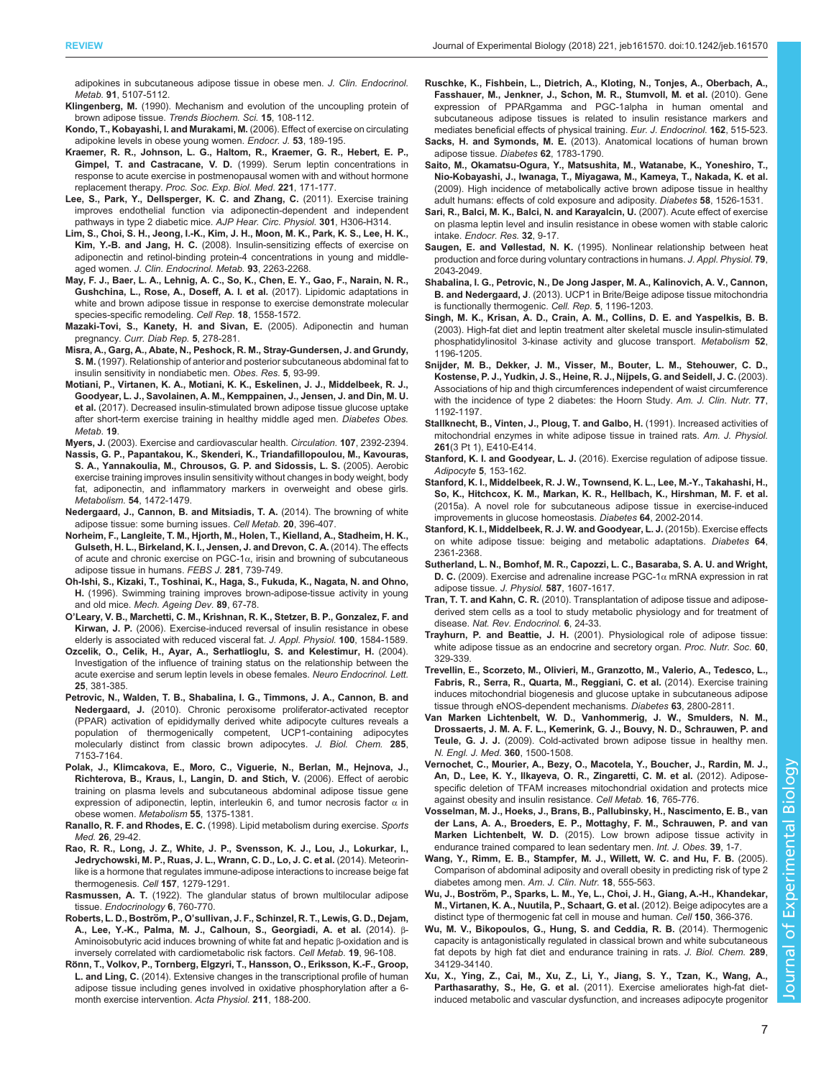- <span id="page-6-0"></span>Klingenberg, M. [\(1990\). Mechanism and evolution of the uncoupling protein of](http://dx.doi.org/10.1016/0968-0004(90)90194-G) [brown adipose tissue.](http://dx.doi.org/10.1016/0968-0004(90)90194-G) Trends Biochem. Sci. 15, 108-112.
- [Kondo, T., Kobayashi, I. and Murakami, M.](http://dx.doi.org/10.1507/endocrj.53.189) (2006). Effect of exercise on circulating [adipokine levels in obese young women.](http://dx.doi.org/10.1507/endocrj.53.189) Endocr. J. 53, 189-195.
- [Kraemer, R. R., Johnson, L. G., Haltom, R., Kraemer, G. R., Hebert, E. P.,](http://dx.doi.org/10.3181/00379727-221-44400) Gimpel, T. and Castracane, V. D. [\(1999\). Serum leptin concentrations in](http://dx.doi.org/10.3181/00379727-221-44400) [response to acute exercise in postmenopausal women with and without hormone](http://dx.doi.org/10.3181/00379727-221-44400) replacement therapy. [Proc. Soc. Exp. Biol. Med.](http://dx.doi.org/10.3181/00379727-221-44400) 221, 171-177.
- [Lee, S., Park, Y., Dellsperger, K. C. and Zhang, C.](http://dx.doi.org/10.1152/ajpheart.01306.2010) (2011). Exercise training [improves endothelial function via adiponectin-dependent and independent](http://dx.doi.org/10.1152/ajpheart.01306.2010) [pathways in type 2 diabetic mice.](http://dx.doi.org/10.1152/ajpheart.01306.2010) AJP Hear. Circ. Physiol. 301, H306-H314.
- [Lim, S., Choi, S. H., Jeong, I.-K., Kim, J. H., Moon, M. K., Park, K. S., Lee, H. K.,](http://dx.doi.org/10.1210/jc.2007-2028) Kim, Y.-B. and Jang, H. C. [\(2008\). Insulin-sensitizing effects of exercise on](http://dx.doi.org/10.1210/jc.2007-2028) [adiponectin and retinol-binding protein-4 concentrations in young and middle](http://dx.doi.org/10.1210/jc.2007-2028)aged women. [J. Clin. Endocrinol. Metab.](http://dx.doi.org/10.1210/jc.2007-2028) 93, 2263-2268.
- [May, F. J., Baer, L. A., Lehnig, A. C., So, K., Chen, E. Y., Gao, F., Narain, N. R.,](http://dx.doi.org/10.1016/j.celrep.2017.01.038) [Gushchina, L., Rose, A., Doseff, A. I. et al.](http://dx.doi.org/10.1016/j.celrep.2017.01.038) (2017). Lipidomic adaptations in [white and brown adipose tissue in response to exercise demonstrate molecular](http://dx.doi.org/10.1016/j.celrep.2017.01.038) [species-specific remodeling.](http://dx.doi.org/10.1016/j.celrep.2017.01.038) Cell Rep. 18, 1558-1572.
- [Mazaki-Tovi, S., Kanety, H. and Sivan, E.](http://dx.doi.org/10.1007/s11892-005-0023-2) (2005). Adiponectin and human pregnancy. [Curr. Diab Rep.](http://dx.doi.org/10.1007/s11892-005-0023-2) 5, 278-281.
- [Misra, A., Garg, A., Abate, N., Peshock, R. M., Stray-Gundersen, J. and Grundy,](http://dx.doi.org/10.1002/j.1550-8528.1997.tb00648.x) S. M. [\(1997\). Relationship of anterior and posterior subcutaneous abdominal fat to](http://dx.doi.org/10.1002/j.1550-8528.1997.tb00648.x) [insulin sensitivity in nondiabetic men.](http://dx.doi.org/10.1002/j.1550-8528.1997.tb00648.x) Obes. Res. 5, 93-99.
- [Motiani, P., Virtanen, K. A., Motiani, K. K., Eskelinen, J. J., Middelbeek, R. J.,](http://dx.doi.org/10.1111/dom.12947) [Goodyear, L. J., Savolainen, A. M., Kemppainen, J., Jensen, J. and Din, M. U.](http://dx.doi.org/10.1111/dom.12947) et al. [\(2017\). Decreased insulin-stimulated brown adipose tissue glucose uptake](http://dx.doi.org/10.1111/dom.12947) [after short-term exercise training in healthy middle aged men.](http://dx.doi.org/10.1111/dom.12947) Diabetes Obes. [Metab](http://dx.doi.org/10.1111/dom.12947). 19.

Myers, J. [\(2003\). Exercise and cardiovascular health.](http://dx.doi.org/10.1161/01.CIR.0000067882.00596.FC) Circulation. 107, 2392-2394. [Nassis, G. P., Papantakou, K., Skenderi, K., Triandafillopoulou, M., Kavouras,](http://dx.doi.org/10.1016/j.metabol.2005.05.013)

- [S. A., Yannakoulia, M., Chrousos, G. P. and Sidossis, L. S.](http://dx.doi.org/10.1016/j.metabol.2005.05.013) (2005). Aerobic [exercise training improves insulin sensitivity without changes in body weight, body](http://dx.doi.org/10.1016/j.metabol.2005.05.013) [fat, adiponectin, and inflammatory markers in overweight and obese girls.](http://dx.doi.org/10.1016/j.metabol.2005.05.013) Metabolism. 54[, 1472-1479.](http://dx.doi.org/10.1016/j.metabol.2005.05.013)
- [Nedergaard, J., Cannon, B. and Mitsiadis, T. A.](http://dx.doi.org/10.1016/j.cmet.2014.07.005) (2014). The browning of white [adipose tissue: some burning issues.](http://dx.doi.org/10.1016/j.cmet.2014.07.005) Cell Metab. 20, 396-407.
- [Norheim, F., Langleite, T. M., Hjorth, M., Holen, T., Kielland, A., Stadheim, H. K.,](http://dx.doi.org/10.1111/febs.12619) [Gulseth, H. L., Birkeland, K. I., Jensen, J. and Drevon, C. A.](http://dx.doi.org/10.1111/febs.12619) (2014). The effects [of acute and chronic exercise on PGC-1](http://dx.doi.org/10.1111/febs.12619) $\alpha$ , irisin and browning of subcutaneous [adipose tissue in humans.](http://dx.doi.org/10.1111/febs.12619) FEBS J. 281, 739-749.
- [Oh-Ishi, S., Kizaki, T., Toshinai, K., Haga, S., Fukuda, K., Nagata, N. and Ohno,](http://dx.doi.org/10.1016/0047-6374(96)01727-7) H. [\(1996\). Swimming training improves brown-adipose-tissue activity in young](http://dx.doi.org/10.1016/0047-6374(96)01727-7) and old mice. [Mech. Ageing Dev.](http://dx.doi.org/10.1016/0047-6374(96)01727-7) 89, 67-78.
- O'[Leary, V. B., Marchetti, C. M., Krishnan, R. K., Stetzer, B. P., Gonzalez, F. and](http://dx.doi.org/10.1152/japplphysiol.01336.2005) Kirwan, J. P. [\(2006\). Exercise-induced reversal of insulin resistance in obese](http://dx.doi.org/10.1152/japplphysiol.01336.2005) [elderly is associated with reduced visceral fat.](http://dx.doi.org/10.1152/japplphysiol.01336.2005) J. Appl. Physiol. 100, 1584-1589.
- Ozcelik, O., Celik, H., Ayar, A., Serhatlioglu, S. and Kelestimur, H. (2004). Investigation of the influence of training status on the relationship between the acute exercise and serum leptin levels in obese females. Neuro Endocrinol. Lett. 25, 381-385.
- [Petrovic, N., Walden, T. B., Shabalina, I. G., Timmons, J. A., Cannon, B. and](http://dx.doi.org/10.1074/jbc.M109.053942) Nedergaard, J. [\(2010\). Chronic peroxisome proliferator-activated receptor](http://dx.doi.org/10.1074/jbc.M109.053942) [\(PPAR\) activation of epididymally derived white adipocyte cultures reveals a](http://dx.doi.org/10.1074/jbc.M109.053942) [population of thermogenically competent, UCP1-containing adipocytes](http://dx.doi.org/10.1074/jbc.M109.053942) [molecularly distinct from classic brown adipocytes.](http://dx.doi.org/10.1074/jbc.M109.053942) J. Biol. Chem. 285, [7153-7164.](http://dx.doi.org/10.1074/jbc.M109.053942)
- [Polak, J., Klimcakova, E., Moro, C., Viguerie, N., Berlan, M., Hejnova, J.,](http://dx.doi.org/10.1016/j.metabol.2006.06.008) [Richterova, B., Kraus, I., Langin, D. and Stich, V.](http://dx.doi.org/10.1016/j.metabol.2006.06.008) (2006). Effect of aerobic [training on plasma levels and subcutaneous abdominal adipose tissue gene](http://dx.doi.org/10.1016/j.metabol.2006.06.008) [expression of adiponectin, leptin, interleukin 6, and tumor necrosis factor](http://dx.doi.org/10.1016/j.metabol.2006.06.008)  $\alpha$  in [obese women.](http://dx.doi.org/10.1016/j.metabol.2006.06.008) Metabolism 55, 1375-1381.
- Ranallo, R. F. and Rhodes, E. C. [\(1998\). Lipid metabolism during exercise.](http://dx.doi.org/10.2165/00007256-199826010-00003) Sports Med. 26[, 29-42.](http://dx.doi.org/10.2165/00007256-199826010-00003)
- [Rao, R. R., Long, J. Z., White, J. P., Svensson, K. J., Lou, J., Lokurkar, I.,](http://dx.doi.org/10.1016/j.cell.2014.03.065) [Jedrychowski, M. P., Ruas, J. L., Wrann, C. D., Lo, J. C. et al.](http://dx.doi.org/10.1016/j.cell.2014.03.065) (2014). Meteorin[like is a hormone that regulates immune-adipose interactions to increase beige fat](http://dx.doi.org/10.1016/j.cell.2014.03.065) [thermogenesis.](http://dx.doi.org/10.1016/j.cell.2014.03.065) Cell 157, 1279-1291.
- Rasmussen, A. T. [\(1922\). The glandular status of brown multilocular adipose](http://dx.doi.org/10.1210/endo-6-6-760) tissue. [Endocrinology](http://dx.doi.org/10.1210/endo-6-6-760) 6, 760-770.
- Roberts, L. D., Boström, P., O'[sullivan, J. F., Schinzel, R. T., Lewis, G. D., Dejam,](http://dx.doi.org/10.1016/j.cmet.2013.12.003) [A., Lee, Y.-K., Palma, M. J., Calhoun, S., Georgiadi, A. et al.](http://dx.doi.org/10.1016/j.cmet.2013.12.003) (2014). β-[Aminoisobutyric acid induces browning of white fat and hepatic](http://dx.doi.org/10.1016/j.cmet.2013.12.003) β-oxidation and is [inversely correlated with cardiometabolic risk factors.](http://dx.doi.org/10.1016/j.cmet.2013.12.003) Cell Metab. 19, 96-108.
- Rö[nn, T., Volkov, P., Tornberg, Elgzyri, T., Hansson, O., Eriksson, K.-F., Groop,](http://dx.doi.org/10.1111/apha.12247) L. and Ling, C. [\(2014\). Extensive changes in the transcriptional profile of human](http://dx.doi.org/10.1111/apha.12247) [adipose tissue including genes involved in oxidative phosphorylation after a 6](http://dx.doi.org/10.1111/apha.12247) [month exercise intervention.](http://dx.doi.org/10.1111/apha.12247) Acta Physiol. 211, 188-200.
- [Ruschke, K., Fishbein, L., Dietrich, A., Kloting, N., Tonjes, A., Oberbach, A.,](http://dx.doi.org/10.1530/EJE-09-0767) [Fasshauer, M., Jenkner, J., Schon, M. R., Stumvoll, M. et al.](http://dx.doi.org/10.1530/EJE-09-0767) (2010). Gene [expression of PPARgamma and PGC-1alpha in human omental and](http://dx.doi.org/10.1530/EJE-09-0767) [subcutaneous adipose tissues is related to insulin resistance markers and](http://dx.doi.org/10.1530/EJE-09-0767) [mediates beneficial effects of physical training.](http://dx.doi.org/10.1530/EJE-09-0767) Eur. J. Endocrinol. 162, 515-523.
- Sacks, H. and Symonds, M. E. [\(2013\). Anatomical locations of human brown](http://dx.doi.org/10.2337/db12-1430) [adipose tissue.](http://dx.doi.org/10.2337/db12-1430) Diabetes 62, 1783-1790.
- [Saito, M., Okamatsu-Ogura, Y., Matsushita, M., Watanabe, K., Yoneshiro, T.,](http://dx.doi.org/10.2337/db09-0530) [Nio-Kobayashi, J., Iwanaga, T., Miyagawa, M., Kameya, T., Nakada, K. et al.](http://dx.doi.org/10.2337/db09-0530) [\(2009\). High incidence of metabolically active brown adipose tissue in healthy](http://dx.doi.org/10.2337/db09-0530) [adult humans: effects of cold exposure and adiposity.](http://dx.doi.org/10.2337/db09-0530) Diabetes 58, 1526-1531.
- [Sari, R., Balci, M. K., Balci, N. and Karayalcin, U.](http://dx.doi.org/10.1080/07435800701670070) (2007). Acute effect of exercise [on plasma leptin level and insulin resistance in obese women with stable caloric](http://dx.doi.org/10.1080/07435800701670070) intake. [Endocr. Res.](http://dx.doi.org/10.1080/07435800701670070) 32, 9-17.
- Saugen, E. and Vøllestad, N. K. (1995). Nonlinear relationship between heat production and force during voluntary contractions in humans. J. Appl. Physiol. 79, 2043-2049.
- [Shabalina, I. G., Petrovic, N., De Jong Jasper, M. A., Kalinovich, A. V., Cannon,](http://dx.doi.org/10.1016/j.celrep.2013.10.044) B. and Nedergaard, J[. \(2013\). UCP1 in Brite/Beige adipose tissue mitochondria](http://dx.doi.org/10.1016/j.celrep.2013.10.044) [is functionally thermogenic.](http://dx.doi.org/10.1016/j.celrep.2013.10.044) Cell. Rep. 5, 1196-1203.
- [Singh, M. K., Krisan, A. D., Crain, A. M., Collins, D. E. and Yaspelkis, B. B.](http://dx.doi.org/10.1016/S0026-0495(03)00158-6) [\(2003\). High-fat diet and leptin treatment alter skeletal muscle insulin-stimulated](http://dx.doi.org/10.1016/S0026-0495(03)00158-6) [phosphatidylinositol 3-kinase activity and glucose transport.](http://dx.doi.org/10.1016/S0026-0495(03)00158-6) Metabolism 52, [1196-1205.](http://dx.doi.org/10.1016/S0026-0495(03)00158-6)
- Snijder, M. B., Dekker, J. M., Visser, M., Bouter, L. M., Stehouwer, C. D., Kostense, P. J., Yudkin, J. S., Heine, R. J., Nijpels, G. and Seidell, J. C. (2003). Associations of hip and thigh circumferences independent of waist circumference with the incidence of type 2 diabetes: the Hoorn Study. Am. J. Clin. Nutr. 77, 1192-1197.
- Stallknecht, B., Vinten, J., Ploug, T. and Galbo, H. (1991). Increased activities of mitochondrial enzymes in white adipose tissue in trained rats. Am. J. Physiol. 261(3 Pt 1), E410-E414.
- Stanford, K. I. and Goodyear, L. J. [\(2016\). Exercise regulation of adipose tissue.](http://dx.doi.org/10.1080/21623945.2016.1191307) Adipocyte 5[, 153-162.](http://dx.doi.org/10.1080/21623945.2016.1191307)
- [Stanford, K. I., Middelbeek, R. J. W., Townsend, K. L., Lee, M.-Y., Takahashi, H.,](http://dx.doi.org/10.2337/db14-0704) [So, K., Hitchcox, K. M., Markan, K. R., Hellbach, K., Hirshman, M. F. et al.](http://dx.doi.org/10.2337/db14-0704) [\(2015a\). A novel role for subcutaneous adipose tissue in exercise-induced](http://dx.doi.org/10.2337/db14-0704) [improvements in glucose homeostasis.](http://dx.doi.org/10.2337/db14-0704) Diabetes 64, 2002-2014.
- [Stanford, K. I., Middelbeek, R. J. W. and Goodyear, L. J.](http://dx.doi.org/10.2337/db15-0227) (2015b). Exercise effects [on white adipose tissue: beiging and metabolic adaptations.](http://dx.doi.org/10.2337/db15-0227) Diabetes 64, [2361-2368.](http://dx.doi.org/10.2337/db15-0227)
- [Sutherland, L. N., Bomhof, M. R., Capozzi, L. C., Basaraba, S. A. U. and Wright,](http://dx.doi.org/10.1113/jphysiol.2008.165464) **D. C.** [\(2009\). Exercise and adrenaline increase PGC-1](http://dx.doi.org/10.1113/jphysiol.2008.165464) $\alpha$  mRNA expression in rat [adipose tissue.](http://dx.doi.org/10.1113/jphysiol.2008.165464) J. Physiol. 587, 1607-1617.
- Tran, T. T. and Kahn, C. R. [\(2010\). Transplantation of adipose tissue and adipose](http://dx.doi.org/10.1038/nrendo.2010.20)[derived stem cells as a tool to study metabolic physiology and for treatment of](http://dx.doi.org/10.1038/nrendo.2010.20) disease. [Nat. Rev. Endocrinol.](http://dx.doi.org/10.1038/nrendo.2010.20) 6, 24-33.
- Trayhurn, P. and Beattie, J. H. [\(2001\). Physiological role of adipose tissue:](http://dx.doi.org/10.1079/PNS200194) [white adipose tissue as an endocrine and secretory organ.](http://dx.doi.org/10.1079/PNS200194) Proc. Nutr. Soc. 60, [329-339.](http://dx.doi.org/10.1079/PNS200194)
- [Trevellin, E., Scorzeto, M., Olivieri, M., Granzotto, M., Valerio, A., Tedesco, L.,](http://dx.doi.org/10.2337/db13-1234) [Fabris, R., Serra, R., Quarta, M., Reggiani, C. et al.](http://dx.doi.org/10.2337/db13-1234) (2014). Exercise training [induces mitochondrial biogenesis and glucose uptake in subcutaneous adipose](http://dx.doi.org/10.2337/db13-1234) [tissue through eNOS-dependent mechanisms.](http://dx.doi.org/10.2337/db13-1234) Diabetes 63, 2800-2811.
- [Van Marken Lichtenbelt, W. D., Vanhommerig, J. W., Smulders, N. M.,](http://dx.doi.org/10.1056/NEJMoa0808718) [Drossaerts, J. M. A. F. L., Kemerink, G. J., Bouvy, N. D., Schrauwen, P. and](http://dx.doi.org/10.1056/NEJMoa0808718) Teule, G. J. J. [\(2009\). Cold-activated brown adipose tissue in healthy men.](http://dx.doi.org/10.1056/NEJMoa0808718) [N. Engl. J. Med.](http://dx.doi.org/10.1056/NEJMoa0808718) 360, 1500-1508.
- [Vernochet, C., Mourier, A., Bezy, O., Macotela, Y., Boucher, J., Rardin, M. J.,](http://dx.doi.org/10.1016/j.cmet.2012.10.016) [An, D., Lee, K. Y., Ilkayeva, O. R., Zingaretti, C. M. et al.](http://dx.doi.org/10.1016/j.cmet.2012.10.016) (2012). Adipose[specific deletion of TFAM increases mitochondrial oxidation and protects mice](http://dx.doi.org/10.1016/j.cmet.2012.10.016) [against obesity and insulin resistance.](http://dx.doi.org/10.1016/j.cmet.2012.10.016) Cell Metab. 16, 765-776.
- [Vosselman, M. J., Hoeks, J., Brans, B., Pallubinsky, H., Nascimento, E. B., van](http://dx.doi.org/10.1038/ijo.2015.130) [der Lans, A. A., Broeders, E. P., Mottaghy, F. M., Schrauwen, P. and van](http://dx.doi.org/10.1038/ijo.2015.130) Marken Lichtenbelt, W. D. [\(2015\). Low brown adipose tissue activity in](http://dx.doi.org/10.1038/ijo.2015.130) [endurance trained compared to lean sedentary men.](http://dx.doi.org/10.1038/ijo.2015.130) Int. J. Obes. 39, 1-7.
- Wang, Y., Rimm, E. B., Stampfer, M. J., Willett, W. C. and Hu, F. B. (2005). Comparison of abdominal adiposity and overall obesity in predicting risk of type 2 diabetes among men. Am. J. Clin. Nutr. 18, 555-563.
- Wu, J., Boströ[m, P., Sparks, L. M., Ye, L., Choi, J. H., Giang, A.-H., Khandekar,](http://dx.doi.org/10.1016/j.cell.2012.05.016) [M., Virtanen, K. A., Nuutila, P., Schaart, G. et al.](http://dx.doi.org/10.1016/j.cell.2012.05.016) (2012). Beige adipocytes are a [distinct type of thermogenic fat cell in mouse and human.](http://dx.doi.org/10.1016/j.cell.2012.05.016) Cell 150, 366-376.
- [Wu, M. V., Bikopoulos, G., Hung, S. and Ceddia, R. B.](http://dx.doi.org/10.1074/jbc.M114.591008) (2014). Thermogenic [capacity is antagonistically regulated in classical brown and white subcutaneous](http://dx.doi.org/10.1074/jbc.M114.591008) [fat depots by high fat diet and endurance training in rats.](http://dx.doi.org/10.1074/jbc.M114.591008) J. Biol. Chem. 289, [34129-34140.](http://dx.doi.org/10.1074/jbc.M114.591008)
- [Xu, X., Ying, Z., Cai, M., Xu, Z., Li, Y., Jiang, S. Y., Tzan, K., Wang, A.,](http://dx.doi.org/10.1152/ajpregu.00806.2010) Parthasarathy, S., He, G. et al. [\(2011\). Exercise ameliorates high-fat diet](http://dx.doi.org/10.1152/ajpregu.00806.2010)[induced metabolic and vascular dysfunction, and increases adipocyte progenitor](http://dx.doi.org/10.1152/ajpregu.00806.2010)